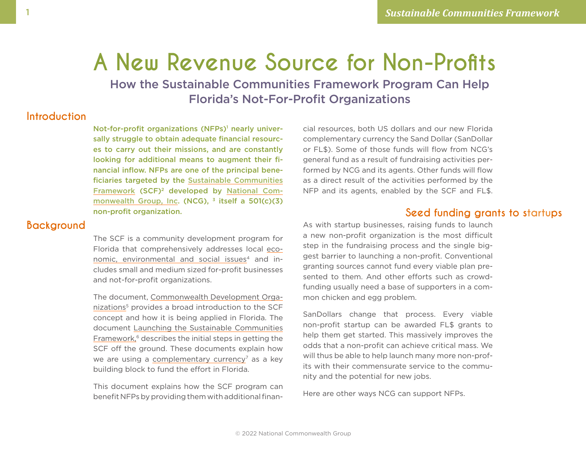# <span id="page-0-0"></span>**A New Revenue Source for Non-Profits**

How the Sustainable Communities Framework Program Can Help Florida's Not-For-Profit Organizations

### **Introduction**

Not-for-profit organizations (NFPs)<sup>1</sup> nearly universally struggle to obtain adequate financial resources to carry out their missions, and are constantly looking for additional means to augment their financial inflow. NFPs are one of the principal beneficiaries targeted by the [Sustainable Communities](https://scf.green) [Framework](https://scf.green) (SCF[\)2](#page-7-0) developed by [National Com](https://nationalcommonwealthgroup.net)[monwealth Group, Inc](https://nationalcommonwealthgroup.net). (NCG),  $3$  itself a 501(c)(3) non-profit organization.

#### **Background**

The SCF is a community development program for Florida that comprehensively addresses local [eco](https://scf.green/what/)[nomic, environmental and social issues](https://scf.green/what/)<sup>[4](#page-7-0)</sup> and includes small and medium sized for-profit businesses and not-for-profit organizations.

The document, [Commonwealth Development Orga](https://scf.green/doc/CommonwealthDevelopmentOrganizations.pdf)[nizations](https://scf.green/doc/CommonwealthDevelopmentOrganizations.pdf)<sup>5</sup> provides a broad introduction to the SCF concept and how it is being applied in Florida. The document [Launching the Sustainable Communities](https://scf.green/doc/LaunchingOhioSCF.pdf) [Framework,](https://scf.green/doc/LaunchingOhioSCF.pdf) [6](#page-7-0) describes the initial steps in getting the SCF off the ground. These documents explain how we are using a [complementary currency](https://en.wikipedia.org/wiki/Complementary_currency)<sup>7</sup> as a key building block to fund the effort in Florida.

This document explains how the SCF program can benefit NFPs by providing them with additional financial resources, both US dollars and our new Florida complementary currency the Sand Dollar (SanDollar or FL\$). Some of those funds will flow from NCG's general fund as a result of fundraising activities performed by NCG and its agents. Other funds will flow as a direct result of the activities performed by the NFP and its agents, enabled by the SCF and FL\$.

#### **Seed funding grants to startups**

As with startup businesses, raising funds to launch a new non-profit organization is the most difficult step in the fundraising process and the single biggest barrier to launching a non-profit. Conventional granting sources cannot fund every viable plan presented to them. And other efforts such as crowdfunding usually need a base of supporters in a common chicken and egg problem.

SanDollars change that process. Every viable non-profit startup can be awarded FL\$ grants to help them get started. This massively improves the odds that a non-profit can achieve critical mass. We will thus be able to help launch many more non-profits with their commensurate service to the community and the potential for new jobs.

Here are other ways NCG can support NFPs.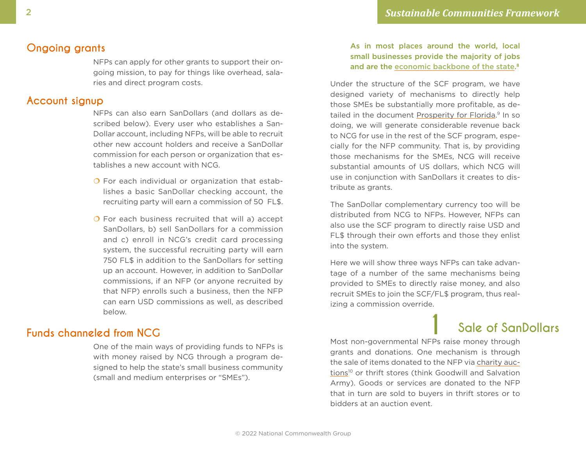#### <span id="page-1-0"></span>**Ongoing grants**

NFPs can apply for other grants to support their ongoing mission, to pay for things like overhead, salaries and direct program costs.

#### **Account signup**

NFPs can also earn SanDollars (and dollars as described below). Every user who establishes a San-Dollar account, including NFPs, will be able to recruit other new account holders and receive a SanDollar commission for each person or organization that establishes a new account with NCG.

- $\overline{O}$  For each individual or organization that establishes a basic SanDollar checking account, the recruiting party will earn a commission of 50 FL\$.
- $\overline{O}$  For each business recruited that will a) accept SanDollars, b) sell SanDollars for a commission and c) enroll in NCG's credit card processing system, the successful recruiting party will earn 750 FL\$ in addition to the SanDollars for setting up an account. However, in addition to SanDollar commissions, if an NFP (or anyone recruited by that NFP) enrolls such a business, then the NFP can earn USD commissions as well, as described below.

One of the main ways of providing funds to NFPs is with money raised by NCG through a program designed to help the state's small business community (small and medium enterprises or "SMEs").

#### As in most places around the world, local small businesses provide the majority of jobs and are the [economic backbone of the s](https://www.inc.com/jared-hecht/are-small-businesses-really-the-backbone-of-the-economy.html)tate.<sup>[8](#page-7-0)</sup>

Under the structure of the SCF program, we have designed variety of mechanisms to directly help those SMEs be substantially more profitable, as de-tailed in the document [Prosperity for F](https://scf.green/doc/ProsperityOhio.pdf)lorida.<sup>9</sup> In so doing, we will generate considerable revenue back to NCG for use in the rest of the SCF program, especially for the NFP community. That is, by providing those mechanisms for the SMEs, NCG will receive substantial amounts of US dollars, which NCG will use in conjunction with SanDollars it creates to distribute as grants.

The SanDollar complementary currency too will be distributed from NCG to NFPs. However, NFPs can also use the SCF program to directly raise USD and FL\$ through their own efforts and those they enlist into the system.

Here we will show three ways NFPs can take advantage of a number of the same mechanisms being provided to SMEs to directly raise money, and also recruit SMEs to join the SCF/FL\$ program, thus realizing a commission override.

# **Funds channeled from NCG 1 Sale of SanDollars**

Most non-governmental NFPs raise money through grants and donations. One mechanism is through the sale of items donated to the NFP via [charity auc](https://www.better-fundraising-ideas.com/fundraising-auction.html)[tions](https://www.better-fundraising-ideas.com/fundraising-auction.html)<sup>10</sup> or thrift stores (think Goodwill and Salvation Army). Goods or services are donated to the NFP that in turn are sold to buyers in thrift stores or to bidders at an auction event.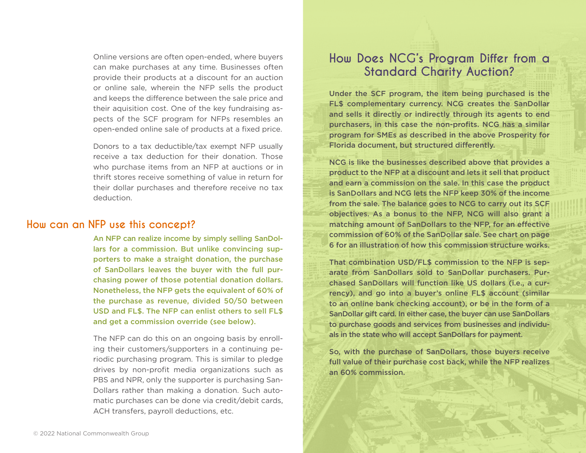Online versions are often open-ended, where buyers can make purchases at any time. Businesses often provide their products at a discount for an auction or online sale, wherein the NFP sells the product and keeps the difference between the sale price and their aquisition cost. One of the key fundraising aspects of the SCF program for NFPs resembles an open-ended online sale of products at a fixed price.

Donors to a tax deductible/tax exempt NFP usually receive a tax deduction for their donation. Those who purchase items from an NFP at auctions or in thrift stores receive something of value in return for their dollar purchases and therefore receive no tax deduction.

#### **How can an NFP use this concept?**

An NFP can realize income by simply selling SanDollars for a commission. But unlike convincing supporters to make a straight donation, the purchase of SanDollars leaves the buyer with the full purchasing power of those potential donation dollars. Nonetheless, the NFP gets the equivalent of 60% of the purchase as revenue, divided 50/50 between USD and FL\$. The NFP can enlist others to sell FL\$ and get a commission override (see below).

The NFP can do this on an ongoing basis by enrolling their customers/supporters in a continuing periodic purchasing program. This is similar to pledge drives by non-profit media organizations such as PBS and NPR, only the supporter is purchasing San-Dollars rather than making a donation. Such automatic purchases can be done via credit/debit cards, ACH transfers, payroll deductions, etc.

### **How Does NCG's Program Differ from a Standard Charity Auction?**

Under the SCF program, the item being purchased is the FL\$ complementary currency. NCG creates the SanDollar and sells it directly or indirectly through its agents to end purchasers, in this case the non-profits. NCG has a similar program for SMEs as described in the above Prosperity for Florida document, but structured differently.

NCG is like the businesses described above that provides a product to the NFP at a discount and lets it sell that product and earn a commission on the sale. In this case the product is SanDollars and NCG lets the NFP keep 30% of the income from the sale. The balance goes to NCG to carry out its SCF objectives. As a bonus to the NFP, NCG will also grant a matching amount of SanDollars to the NFP, for an effective commission of 60% of the SanDollar sale. See chart on page 6 for an illustration of how this commission structure works.

That combination USD/FL\$ commission to the NFP is separate from SanDollars sold to SanDollar purchasers. Purchased SanDollars will function like US dollars (i.e., a currency), and go into a buyer's online FL\$ account (similar to an online bank checking account), or be in the form of a SanDollar gift card. In either case, the buyer can use SanDollars to purchase goods and services from businesses and individuals in the state who will accept SanDollars for payment.

So, with the purchase of SanDollars, those buyers receive full value of their purchase cost back, while the NFP realizes an 60% commission.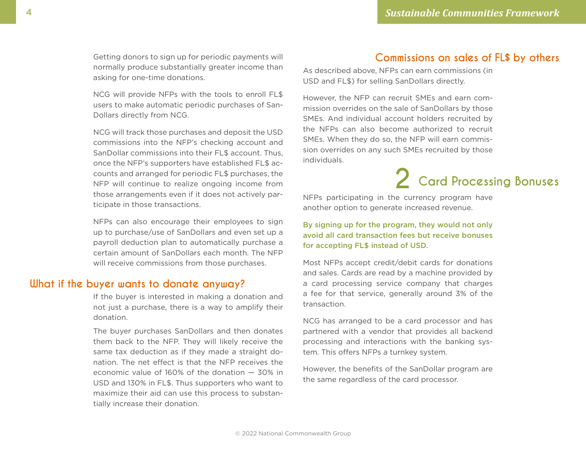Getting donors to sign up for periodic payments will normally produce substantially greater income than asking for one-time donations.

NCG will provide NFPs with the tools to enroll FL\$ users to make automatic periodic purchases of San-Dollars directly from NCG.

NCG will track those purchases and deposit the USD commissions into the NFP's checking account and SanDollar commissions into their FL\$ account. Thus, once the NFP's supporters have established FL\$ accounts and arranged for periodic FL\$ purchases, the NFP will continue to realize ongoing income from those arrangements even if it does not actively participate in those transactions.

NFPs can also encourage their employees to sign up to purchase/use of SanDollars and even set up a payroll deduction plan to automatically purchase a certain amount of SanDollars each month. The NFP will receive commissions from those purchases.

#### **What if the buyer wants to donate anyway?**

If the buyer is interested in making a donation and not just a purchase, there is a way to amplify their donation.

The buyer purchases SanDollars and then donates them back to the NFP. They will likely receive the same tax deduction as if they made a straight donation. The net effect is that the NFP receives the economic value of 160% of the donation — 30% in USD and 130% in FL\$. Thus supporters who want to maximize their aid can use this process to substantially increase their donation.

#### **Commissions on sales of FL\$ by others**

As described above, NFPs can earn commissions (in USD and FL\$) for selling SanDollars directly.

However, the NFP can recruit SMEs and earn commission overrides on the sale of SanDollars by those SMEs. And individual account holders recruited by the NFPs can also become authorized to recruit SMEs. When they do so, the NFP will earn commission overrides on any such SMEs recruited by those individuals.

# **2 Card Processing Bonuses**

NFPs participating in the currency program have another option to generate increased revenue.

By signing up for the program, they would not only avoid all card transaction fees but receive bonuses for accepting FL\$ instead of USD.

Most NFPs accept credit/debit cards for donations and sales. Cards are read by a machine provided by a card processing service company that charges a fee for that service, generally around 3% of the transaction.

NCG has arranged to be a card processor and has partnered with a vendor that provides all backend processing and interactions with the banking system. This offers NFPs a turnkey system.

However, the benefits of the SanDollar program are the same regardless of the card processor.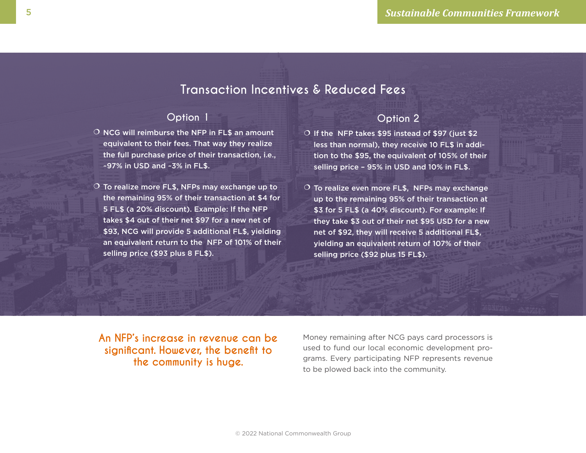## **Transaction Incentives & Reduced Fees**

#### **Option 1**

- $O$  NCG will reimburse the NFP in FL\$ an amount equivalent to their fees. That way they realize the full purchase price of their transaction, i.e., ~97% in USD and ~3% in FL\$.
- $\overline{O}$  To realize more FL\$, NFPs may exchange up to the remaining 95% of their transaction at \$4 for 5 FL\$ (a 20% discount). Example: If the NFP takes \$4 out of their net \$97 for a new net of \$93, NCG will provide 5 additional FL\$, yielding an equivalent return to the NFP of 101% of their selling price (\$93 plus 8 FL\$).

#### **Option 2**

- O If the NFP takes \$95 instead of \$97 (just \$2 less than normal), they receive 10 FL\$ in addition to the \$95, the equivalent of 105% of their selling price – 95% in USD and 10% in FL\$.
- $\circ$  To realize even more FL\$, NFPs may exchange up to the remaining 95% of their transaction at \$3 for 5 FL\$ (a 40% discount). For example: If they take \$3 out of their net \$95 USD for a new net of \$92, they will receive 5 additional FL\$, yielding an equivalent return of 107% of their selling price (\$92 plus 15 FL\$).

**An NFP's increase in revenue can be significant. However, the benefit to the community is huge.** 

Money remaining after NCG pays card processors is used to fund our local economic development programs. Every participating NFP represents revenue to be plowed back into the community.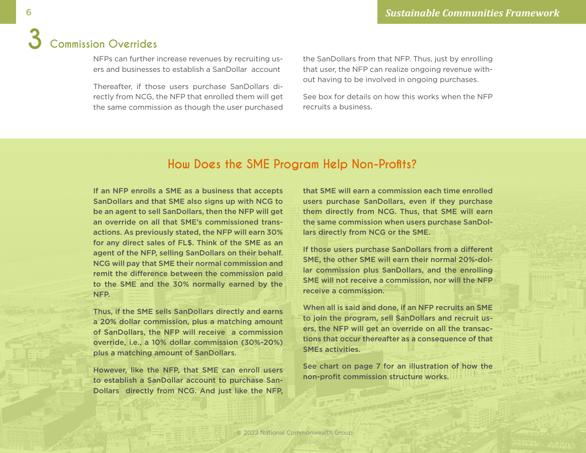NFPs can further increase revenues by recruiting users and businesses to establish a SanDollar account

Thereafter, if those users purchase SanDollars directly from NCG, the NFP that enrolled them will get the same commission as though the user purchased the SanDollars from that NFP. Thus, just by enrolling that user, the NFP can realize ongoing revenue without having to be involved in ongoing purchases.

See box for details on how this works when the NFP recruits a business.

## **How Does the SME Program Help Non-Profits?**

If an NFP enrolls a SME as a business that accepts SanDollars and that SME also signs up with NCG to be an agent to sell SanDollars, then the NFP will get an override on all that SME's commissioned transactions. As previously stated, the NFP will earn 30% for any direct sales of FL\$. Think of the SME as an agent of the NFP, selling SanDollars on their behalf. NCG will pay that SME their normal commission and remit the difference between the commission paid to the SME and the 30% normally earned by the NFP.

Thus, if the SME sells SanDollars directly and earns a 20% dollar commission, plus a matching amount of SanDollars, the NFP will receive a commission override, i.e., a 10% dollar commission (30%-20%) plus a matching amount of SanDollars.

However, like the NFP, that SME can enroll users to establish a SanDollar account to purchase San-Dollars directly from NCG. And just like the NFP, that SME will earn a commission each time enrolled users purchase SanDollars, even if they purchase them directly from NCG. Thus, that SME will earn the same commission when users purchase SanDollars directly from NCG or the SME.

If those users purchase SanDollars from a different SME, the other SME will earn their normal 20%-dollar commission plus SanDollars, and the enrolling SME will not receive a commission, nor will the NFP receive a commission.

When all is said and done, if an NFP recruits an SME to join the program, sell SanDollars and recruit users, the NFP will get an override on all the transactions that occur thereafter as a consequence of that SMEs activities.

See chart on page 7 for an illustration of how the non-profit commission structure works.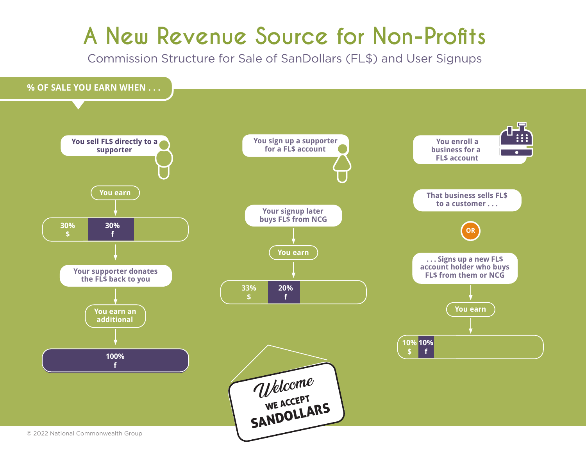# **A New Revenue Source for Non-Profits**

Commission Structure for Sale of SanDollars (FL\$) and User Signups